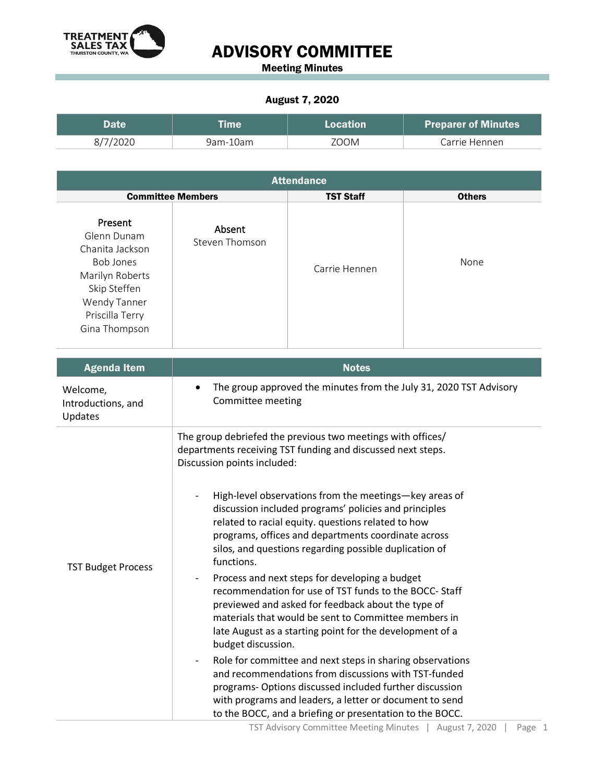

## ADVISORY COMMITTEE

Meeting Minutes

## August 7, 2020

| <b>Date</b> | <b>Eme</b> | <b>Location</b> | <b>Preparer of Minutes</b> |
|-------------|------------|-----------------|----------------------------|
| 8/7/2020    | 9am-10am   | 700M            | Carrie Hennen              |

| <b>Attendance</b>                                                                                                                             |                          |                  |               |  |  |  |
|-----------------------------------------------------------------------------------------------------------------------------------------------|--------------------------|------------------|---------------|--|--|--|
| <b>Committee Members</b>                                                                                                                      |                          | <b>TST Staff</b> | <b>Others</b> |  |  |  |
| Present<br>Glenn Dunam<br>Chanita Jackson<br>Bob Jones<br>Marilyn Roberts<br>Skip Steffen<br>Wendy Tanner<br>Priscilla Terry<br>Gina Thompson | Absent<br>Steven Thomson | Carrie Hennen    | None          |  |  |  |

| <b>Agenda Item</b>                        | <b>Notes</b>                                                                                                                                                                                                                                                                                                                    |  |  |
|-------------------------------------------|---------------------------------------------------------------------------------------------------------------------------------------------------------------------------------------------------------------------------------------------------------------------------------------------------------------------------------|--|--|
| Welcome,<br>Introductions, and<br>Updates | The group approved the minutes from the July 31, 2020 TST Advisory<br>Committee meeting                                                                                                                                                                                                                                         |  |  |
| <b>TST Budget Process</b>                 | The group debriefed the previous two meetings with offices/<br>departments receiving TST funding and discussed next steps.<br>Discussion points included:<br>High-level observations from the meetings-key areas of                                                                                                             |  |  |
|                                           | discussion included programs' policies and principles<br>related to racial equity. questions related to how<br>programs, offices and departments coordinate across<br>silos, and questions regarding possible duplication of<br>functions.                                                                                      |  |  |
|                                           | Process and next steps for developing a budget<br>recommendation for use of TST funds to the BOCC-Staff<br>previewed and asked for feedback about the type of<br>materials that would be sent to Committee members in<br>late August as a starting point for the development of a<br>budget discussion.                         |  |  |
|                                           | Role for committee and next steps in sharing observations<br>$\overline{\phantom{a}}$<br>and recommendations from discussions with TST-funded<br>programs- Options discussed included further discussion<br>with programs and leaders, a letter or document to send<br>to the BOCC, and a briefing or presentation to the BOCC. |  |  |